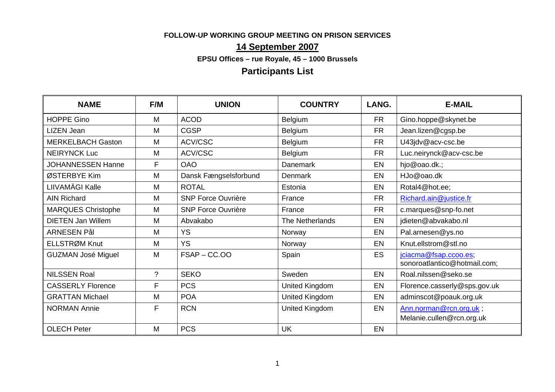### **FOLLOW-UP WORKING GROUP MEETING ON PRISON SERVICES**

## **14 September 2007**

**EPSU Offices – rue Royale, 45 – 1000 Brussels** 

# **Participants List**

| <b>NAME</b>               | F/M            | <b>UNION</b>              | <b>COUNTRY</b>        | LANG.     | <b>E-MAIL</b>                                         |
|---------------------------|----------------|---------------------------|-----------------------|-----------|-------------------------------------------------------|
| <b>HOPPE Gino</b>         | M              | <b>ACOD</b>               | Belgium               | <b>FR</b> | Gino.hoppe@skynet.be                                  |
| <b>LIZEN Jean</b>         | M              | <b>CGSP</b>               | Belgium               | <b>FR</b> | Jean.lizen@cgsp.be                                    |
| <b>MERKELBACH Gaston</b>  | M              | ACV/CSC                   | Belgium               | <b>FR</b> | U43jdv@acv-csc.be                                     |
| <b>NEIRYNCK Luc</b>       | M              | ACV/CSC                   | Belgium               | <b>FR</b> | Luc.neirynck@acv-csc.be                               |
| <b>JOHANNESSEN Hanne</b>  | F              | <b>OAO</b>                | Danemark              | EN        | hjo@oao.dk.;                                          |
| ØSTERBYE Kim              | M              | Dansk Fængselsforbund     | Denmark               | EN        | HJo@oao.dk                                            |
| LIIVAMÄGI Kalle           | M              | <b>ROTAL</b>              | Estonia               | <b>EN</b> | Rotal4@hot.ee;                                        |
| <b>AIN Richard</b>        | M              | <b>SNP Force Ouvrière</b> | France                | <b>FR</b> | Richard.ain@justice.fr                                |
| <b>MARQUES Christophe</b> | M              | <b>SNP Force Ouvrière</b> | France                | <b>FR</b> | c.marques@snp-fo.net                                  |
| <b>DIETEN Jan Willem</b>  | M              | Abvakabo                  | The Netherlands       | EN        | jdieten@abvakabo.nl                                   |
| <b>ARNESEN Pål</b>        | M              | <b>YS</b>                 | Norway                | EN        | Pal.arnesen@ys.no                                     |
| ELLSTRØM Knut             | M              | <b>YS</b>                 | Norway                | <b>EN</b> | Knut.ellstrom@stl.no                                  |
| <b>GUZMAN José Miguel</b> | M              | $FSAP - CC.OO$            | Spain                 | <b>ES</b> | jciacma@fsap.ccoo.es;<br>sonoroatlantico@hotmail.com; |
| <b>NILSSEN Roal</b>       | $\overline{?}$ | <b>SEKO</b>               | Sweden                | EN        | Roal.nilssen@seko.se                                  |
| <b>CASSERLY Florence</b>  | F              | <b>PCS</b>                | United Kingdom        | EN        | Florence.casserly@sps.gov.uk                          |
| <b>GRATTAN Michael</b>    | M              | <b>POA</b>                | United Kingdom        | EN        | adminscot@poauk.org.uk                                |
| <b>NORMAN Annie</b>       | F              | <b>RCN</b>                | <b>United Kingdom</b> | EN        | Ann.norman@rcn.org.uk;<br>Melanie.cullen@rcn.org.uk   |
| <b>OLECH Peter</b>        | M              | <b>PCS</b>                | <b>UK</b>             | EN        |                                                       |